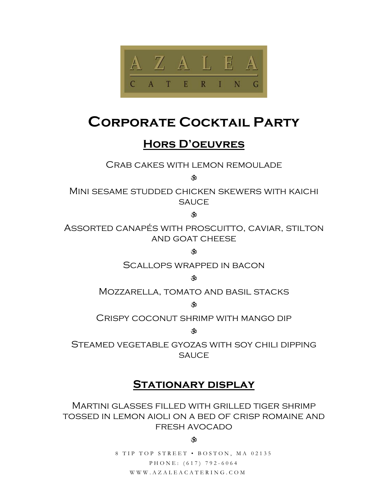

# **Corporate Cocktail Party**

# **Hors D'oeuvres**

Crab cakes with lemon remoulade

而

Mini sesame studded chicken skewers with kaichi **SAUCE** 

**CD** 

Assorted canapés with proscuitto, caviar, stilton and goat cheese

 $\boldsymbol{\ddot{x}}$ 

Scallops wrapped in bacon

ंळे

Mozzarella, tomato and basil stacks

 $\boldsymbol{\ddot{x}}$ 

Crispy coconut shrimp with mango dip

 $\mathbf{\hat{w}}$ 

Steamed vegetable gyozas with soy chili dipping **SAUCE** 

# **Stationary display**

Martini glasses filled with grilled tiger shrimp tossed in lemon aioli on a bed of crisp romaine and fresh avocado

#### Ğ0

8 TIP TOP STREET • BOSTON, MA 02135 PHONE: (617) 792-6064 WWW.AZALEACATERING.COM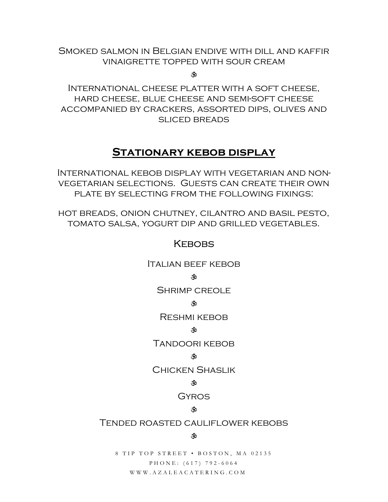### Smoked salmon in Belgian endive with dill and kaffir vinaigrette topped with sour cream

े के

International cheese platter with a soft cheese, hard cheese, blue cheese and semi-soft cheese accompanied by crackers, assorted dips, olives and sliced breads

# **Stationary kebob display**

International kebob display with vegetarian and nonvegetarian selections. Guests can create their own plate by selecting from the following fixings:

hot breads, onion chutney, cilantro and basil pesto, tomato salsa, yogurt dip and grilled vegetables.

#### **KEBOBS**

Italian beef kebob

#### **Ro**

Shrimp creole

#### े के

Reshmi kebob

#### **R**

Tandoori kebob

#### रौं0

Chicken Shaslik

#### G 30

**GYROS** 

#### ै के

#### Tended roasted cauliflower kebobs

#### ্ষ

8 TIP TOP STREET • BOSTON, MA 02135 PHONE: (617) 792-6064 WWW.AZALEACATERING.COM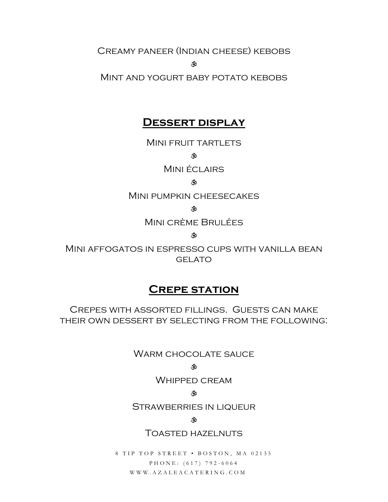Creamy paneer (Indian cheese) kebobs

**À** 

Mint and yogurt baby potato kebobs

# **Dessert display**

MINI FRUIT TARTLETS

 $\hat{\mathcal{R}}$ 

Mini éclairs

#### $\boldsymbol{\hat{w}}$

Mini pumpkin cheesecakes

े के

Mini crème Brulées

ক

Mini affogatos in espresso cups with vanilla bean **GELATO** 

# **Crepe station**

Crepes with assorted fillings. Guests can make their own dessert by selecting from the following:

WARM CHOCOLATE SAUCE

#### **RD**

Whipped cream

#### GÔ.

Strawberries in liqueur

#### Ŵ

Toasted hazelnuts

8 TIP TOP STREET • BOSTON, MA 02135 PHONE: (617) 792-6064 WWW.AZALEACATERING.COM